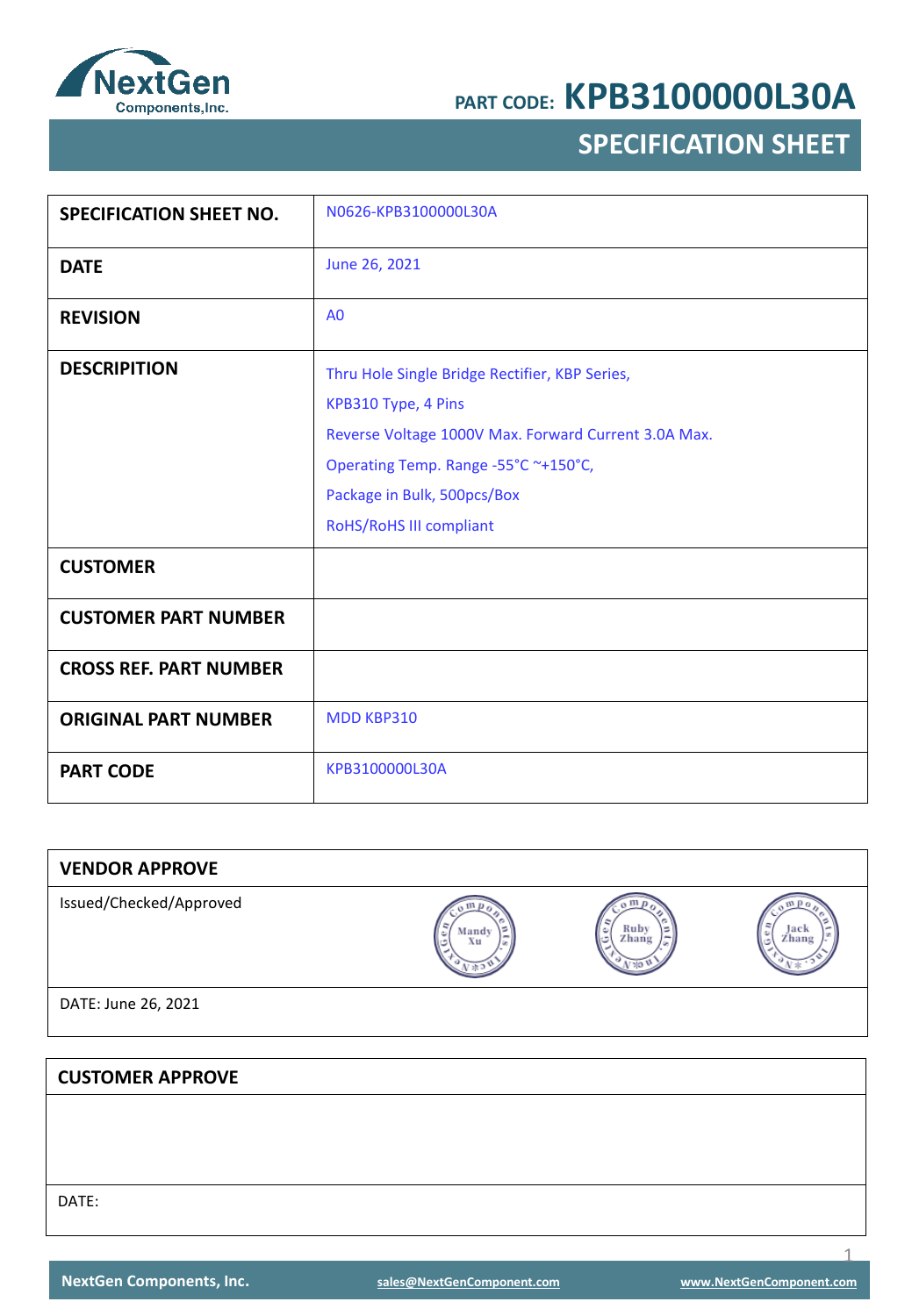

## **SPECIFICATION SHEET**

| <b>SPECIFICATION SHEET NO.</b> | N0626-KPB3100000L30A                                 |
|--------------------------------|------------------------------------------------------|
|                                |                                                      |
| <b>DATE</b>                    | June 26, 2021                                        |
| <b>REVISION</b>                | A <sub>0</sub>                                       |
| <b>DESCRIPITION</b>            | Thru Hole Single Bridge Rectifier, KBP Series,       |
|                                | KPB310 Type, 4 Pins                                  |
|                                | Reverse Voltage 1000V Max. Forward Current 3.0A Max. |
|                                | Operating Temp. Range -55°C ~+150°C,                 |
|                                | Package in Bulk, 500pcs/Box                          |
|                                | RoHS/RoHS III compliant                              |
| <b>CUSTOMER</b>                |                                                      |
| <b>CUSTOMER PART NUMBER</b>    |                                                      |
| <b>CROSS REF. PART NUMBER</b>  |                                                      |
| <b>ORIGINAL PART NUMBER</b>    | <b>MDD KBP310</b>                                    |
| <b>PART CODE</b>               | KPB3100000L30A                                       |

| <b>VENDOR APPROVE</b>   |             |               |               |
|-------------------------|-------------|---------------|---------------|
| Issued/Checked/Approved | Mandy<br>Xu | Ruby<br>Zhang | Jack<br>Zhang |
| DATE: June 26, 2021     |             |               |               |
|                         |             |               |               |
| <b>CUSTOMER APPROVE</b> |             |               |               |
|                         |             |               |               |
|                         |             |               |               |

DATE: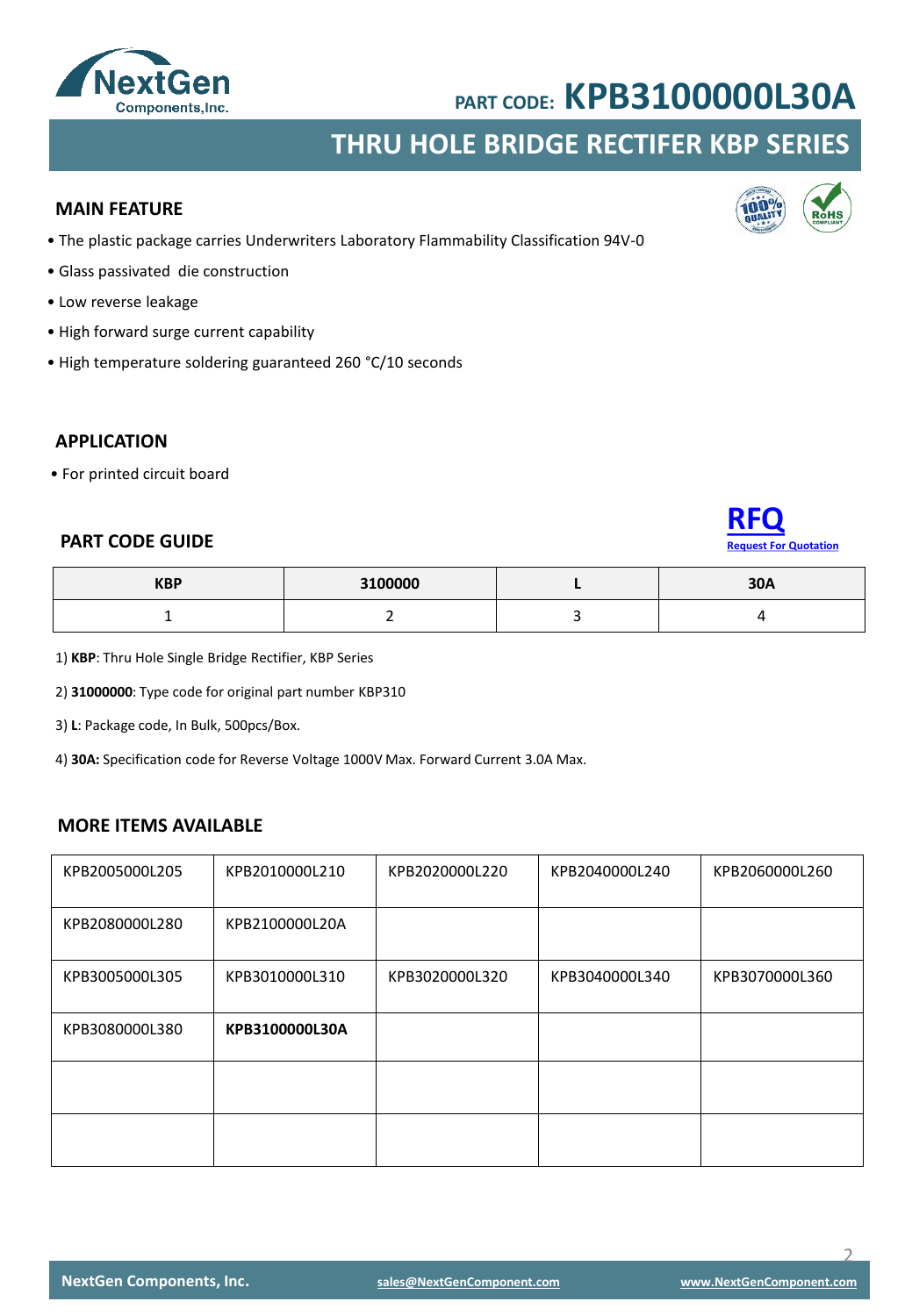

## **THRU HOLE BRIDGE RECTIFER KBP SERIES**

#### **MAIN FEATURE**

- The plastic package carries Underwriters Laboratory Flammability Classification 94V-0
- Glass passivated die construction
- Low reverse leakage
- High forward surge current capability
- High temperature soldering guaranteed 260 °C/10 seconds

#### **APPLICATION**

• For printed circuit board

### **PART CODE GUIDE**

| <b>Reauest For Quotation</b> |  |
|------------------------------|--|

| <b>KBP</b>                    | 3100000 | <b>20A</b><br>JUM |
|-------------------------------|---------|-------------------|
| -<br>$\overline{\phantom{0}}$ |         |                   |

1) **KBP**: Thru Hole Single Bridge Rectifier, KBP Series

2) **31000000**: Type code for original part number KBP310

3) **L**: Package code, In Bulk, 500pcs/Box.

4) **30A:** Specification code for Reverse Voltage 1000V Max. Forward Current 3.0A Max.

#### **MORE ITEMS AVAILABLE**

| KPB2005000L205 | KPB2010000L210 | KPB2020000L220 | KPB2040000L240 | KPB2060000L260 |
|----------------|----------------|----------------|----------------|----------------|
| KPB2080000L280 | KPB2100000L20A |                |                |                |
| KPB3005000L305 | KPB3010000L310 | KPB3020000L320 | KPB3040000L340 | KPB3070000L360 |
| KPB3080000L380 | KPB3100000L30A |                |                |                |
|                |                |                |                |                |
|                |                |                |                |                |

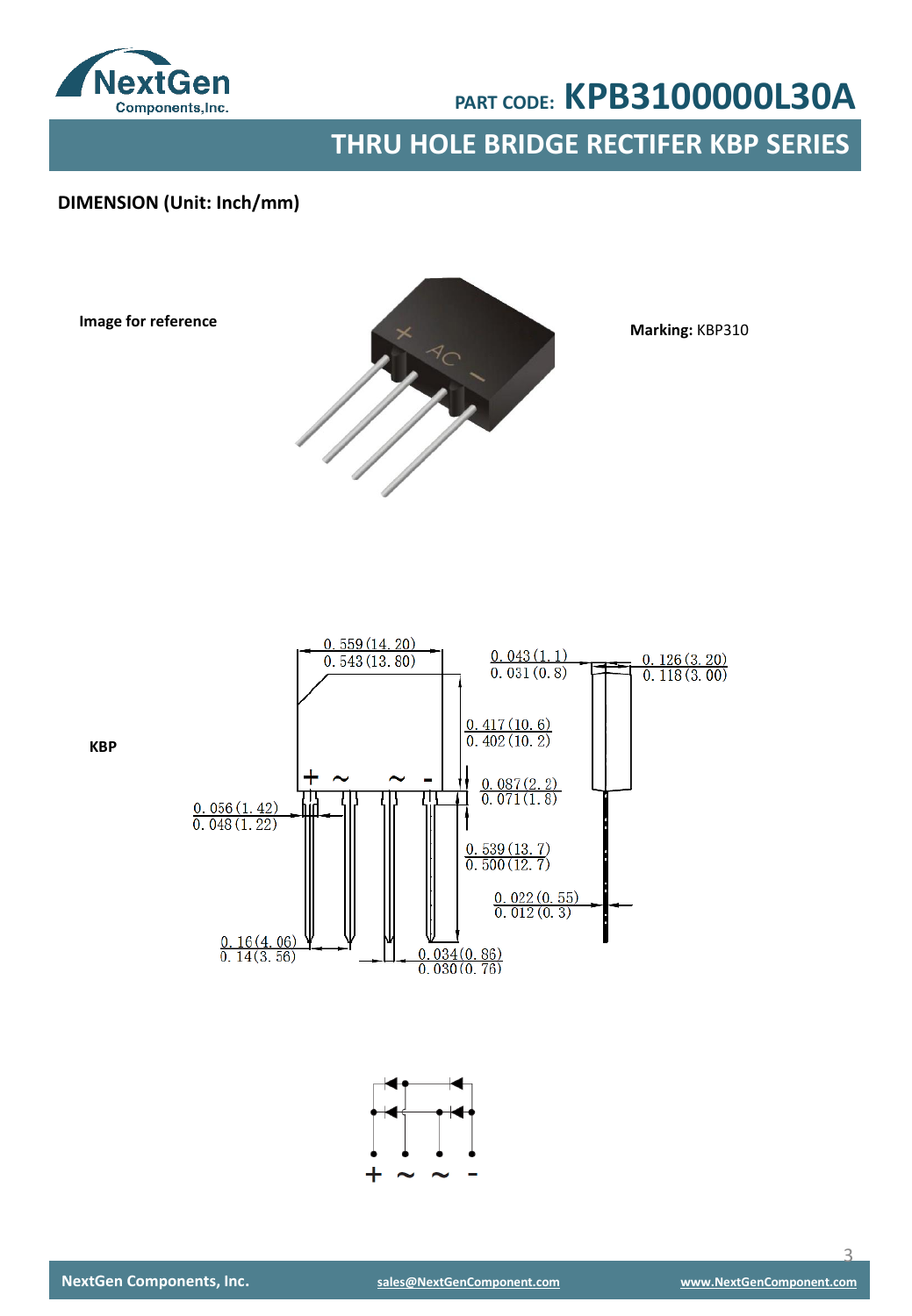

**THRU HOLE BRIDGE RECTIFER KBP SERIES** 

### **DIMENSION (Unit: Inch/mm)**

**Image for reference**



**Marking:** KBP310



**KBP**

 $\overline{\mathcal{L}}$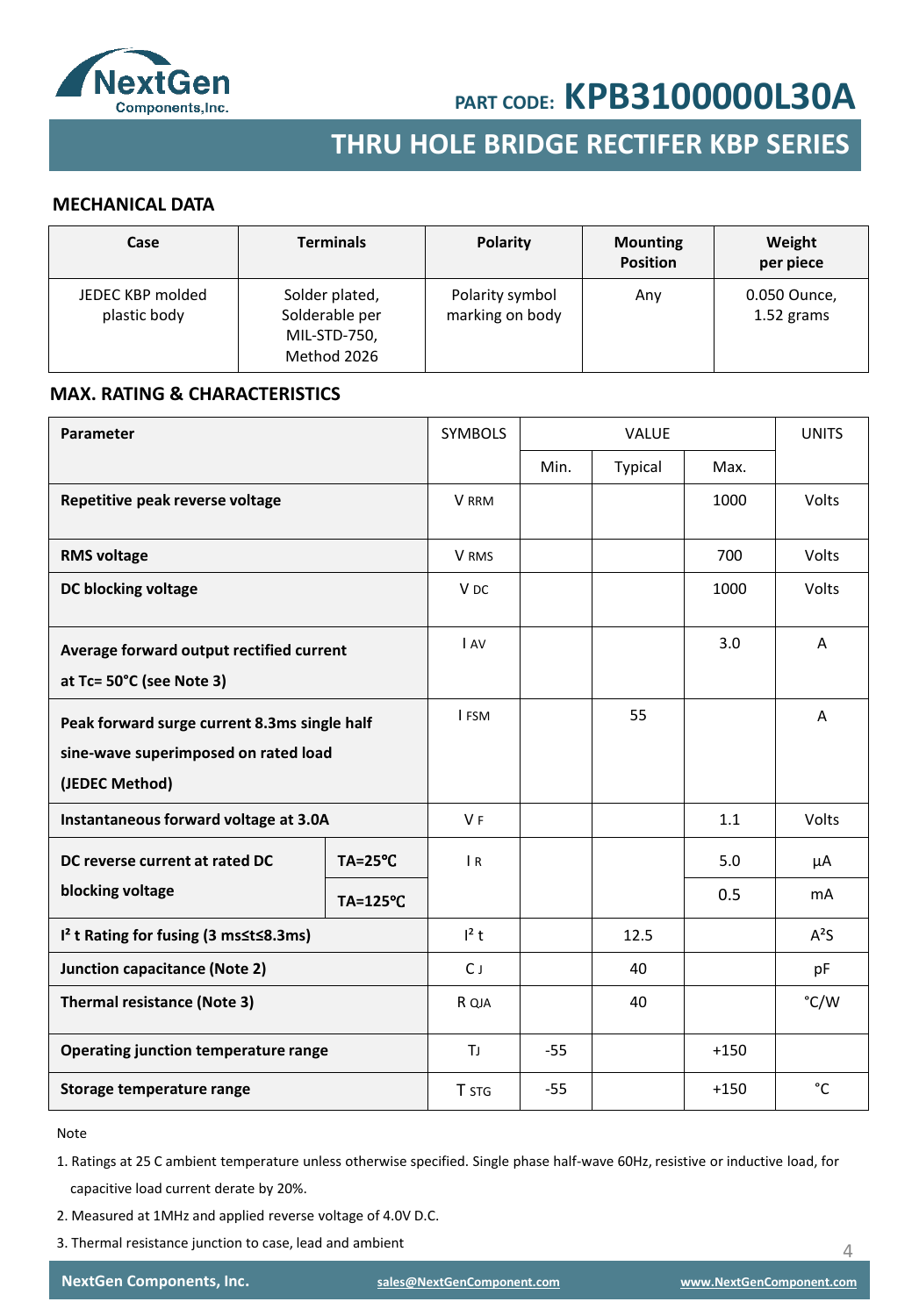

## **THRU HOLE BRIDGE RECTIFER KBP SERIES**

#### **MECHANICAL DATA**

| Case                             | <b>Terminals</b>                                                | <b>Polarity</b>                    | <b>Mounting</b><br><b>Position</b> | Weight<br>per piece        |
|----------------------------------|-----------------------------------------------------------------|------------------------------------|------------------------------------|----------------------------|
| JEDEC KBP molded<br>plastic body | Solder plated,<br>Solderable per<br>MIL-STD-750,<br>Method 2026 | Polarity symbol<br>marking on body | Any                                | 0.050 Ounce,<br>1.52 grams |

#### **MAX. RATING & CHARACTERISTICS**

| Parameter                                                                                              |                | <b>SYMBOLS</b>  |       | <b>VALUE</b> |        | <b>UNITS</b>   |
|--------------------------------------------------------------------------------------------------------|----------------|-----------------|-------|--------------|--------|----------------|
|                                                                                                        |                |                 | Min.  | Typical      | Max.   |                |
| Repetitive peak reverse voltage                                                                        |                | <b>V</b> RRM    |       |              | 1000   | Volts          |
| <b>RMS voltage</b>                                                                                     |                | V RMS           |       |              | 700    | <b>Volts</b>   |
| DC blocking voltage                                                                                    |                | V <sub>DC</sub> |       |              | 1000   | Volts          |
| Average forward output rectified current<br>at Tc= 50°C (see Note 3)                                   |                | I AV            |       |              | 3.0    | $\overline{A}$ |
| Peak forward surge current 8.3ms single half<br>sine-wave superimposed on rated load<br>(JEDEC Method) |                | I FSM           |       | 55           |        | A              |
| Instantaneous forward voltage at 3.0A                                                                  |                | V <sub>F</sub>  |       |              | 1.1    | Volts          |
| DC reverse current at rated DC                                                                         | <b>TA=25°C</b> | $\overline{R}$  |       |              | 5.0    | μA             |
| blocking voltage                                                                                       | TA=125°C       |                 |       |              | 0.5    | m <sub>A</sub> |
| I <sup>2</sup> t Rating for fusing (3 ms≤t≤8.3ms)                                                      |                | $l^2$ t         |       | 12.5         |        | $A^2S$         |
| Junction capacitance (Note 2)                                                                          |                | $C_{J}$         |       | 40           |        | pF             |
| <b>Thermal resistance (Note 3)</b>                                                                     |                | R QJA           |       | 40           |        | °C/W           |
| Operating junction temperature range                                                                   |                | ΤJ              | $-55$ |              | $+150$ |                |
| Storage temperature range                                                                              |                | T STG           | $-55$ |              | $+150$ | °C             |

Note

- 1. Ratings at 25 C ambient temperature unless otherwise specified. Single phase half-wave 60Hz, resistive or inductive load, for capacitive load current derate by 20%.
- 2. Measured at 1MHz and applied reverse voltage of 4.0V D.C.
- 3. Thermal resistance junction to case, lead and ambient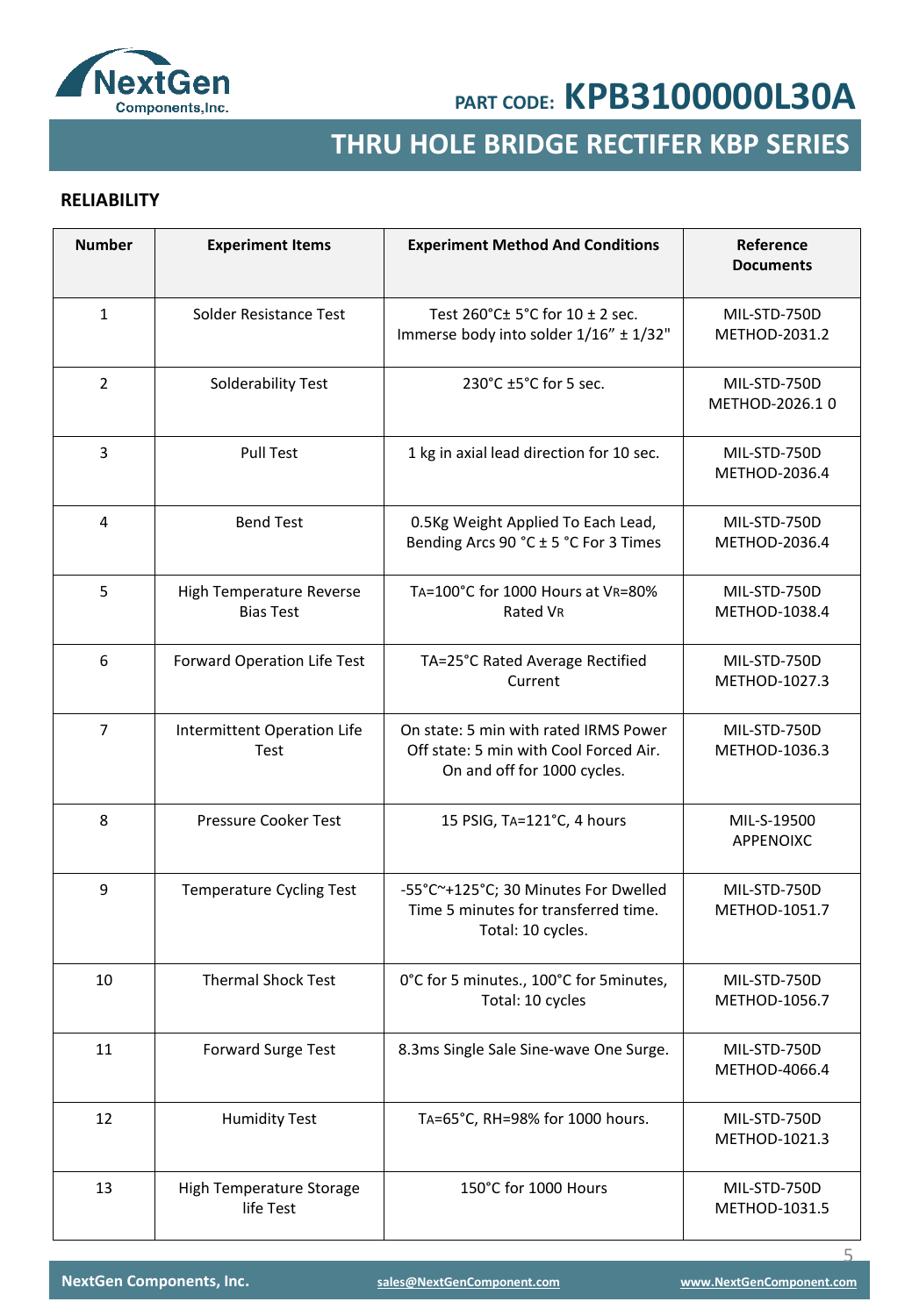

## **THRU HOLE BRIDGE RECTIFER KBP SERIES**

### **RELIABILITY**

| <b>Number</b>  | <b>Experiment Items</b>                      | <b>Experiment Method And Conditions</b>                                                                        | Reference<br><b>Documents</b>  |
|----------------|----------------------------------------------|----------------------------------------------------------------------------------------------------------------|--------------------------------|
| $\mathbf{1}$   | Solder Resistance Test                       | Test 260°C± 5°C for 10 ± 2 sec.<br>Immerse body into solder 1/16" ± 1/32"                                      | MIL-STD-750D<br>METHOD-2031.2  |
| $\overline{2}$ | Solderability Test                           | 230°C ±5°C for 5 sec.                                                                                          | MIL-STD-750D<br>METHOD-2026.10 |
| 3              | <b>Pull Test</b>                             | 1 kg in axial lead direction for 10 sec.                                                                       | MIL-STD-750D<br>METHOD-2036.4  |
| 4              | <b>Bend Test</b>                             | 0.5Kg Weight Applied To Each Lead,<br>Bending Arcs 90 °C ± 5 °C For 3 Times                                    | MIL-STD-750D<br>METHOD-2036.4  |
| 5              | High Temperature Reverse<br><b>Bias Test</b> | TA=100°C for 1000 Hours at VR=80%<br>Rated VR                                                                  | MIL-STD-750D<br>METHOD-1038.4  |
| 6              | Forward Operation Life Test                  | TA=25°C Rated Average Rectified<br>Current                                                                     | MIL-STD-750D<br>METHOD-1027.3  |
| $\overline{7}$ | Intermittent Operation Life<br>Test          | On state: 5 min with rated IRMS Power<br>Off state: 5 min with Cool Forced Air.<br>On and off for 1000 cycles. | MIL-STD-750D<br>METHOD-1036.3  |
| 8              | Pressure Cooker Test                         | 15 PSIG, TA=121°C, 4 hours                                                                                     | MIL-S-19500<br>APPENOIXC       |
| 9              | <b>Temperature Cycling Test</b>              | -55°C~+125°C; 30 Minutes For Dwelled<br>Time 5 minutes for transferred time.<br>Total: 10 cycles.              | MIL-STD-750D<br>METHOD-1051.7  |
| 10             | <b>Thermal Shock Test</b>                    | 0°C for 5 minutes., 100°C for 5 minutes,<br>Total: 10 cycles                                                   | MIL-STD-750D<br>METHOD-1056.7  |
| 11             | <b>Forward Surge Test</b>                    | 8.3ms Single Sale Sine-wave One Surge.                                                                         | MIL-STD-750D<br>METHOD-4066.4  |
| 12             | <b>Humidity Test</b>                         | TA=65°C, RH=98% for 1000 hours.                                                                                | MIL-STD-750D<br>METHOD-1021.3  |
| 13             | High Temperature Storage<br>life Test        | 150°C for 1000 Hours                                                                                           | MIL-STD-750D<br>METHOD-1031.5  |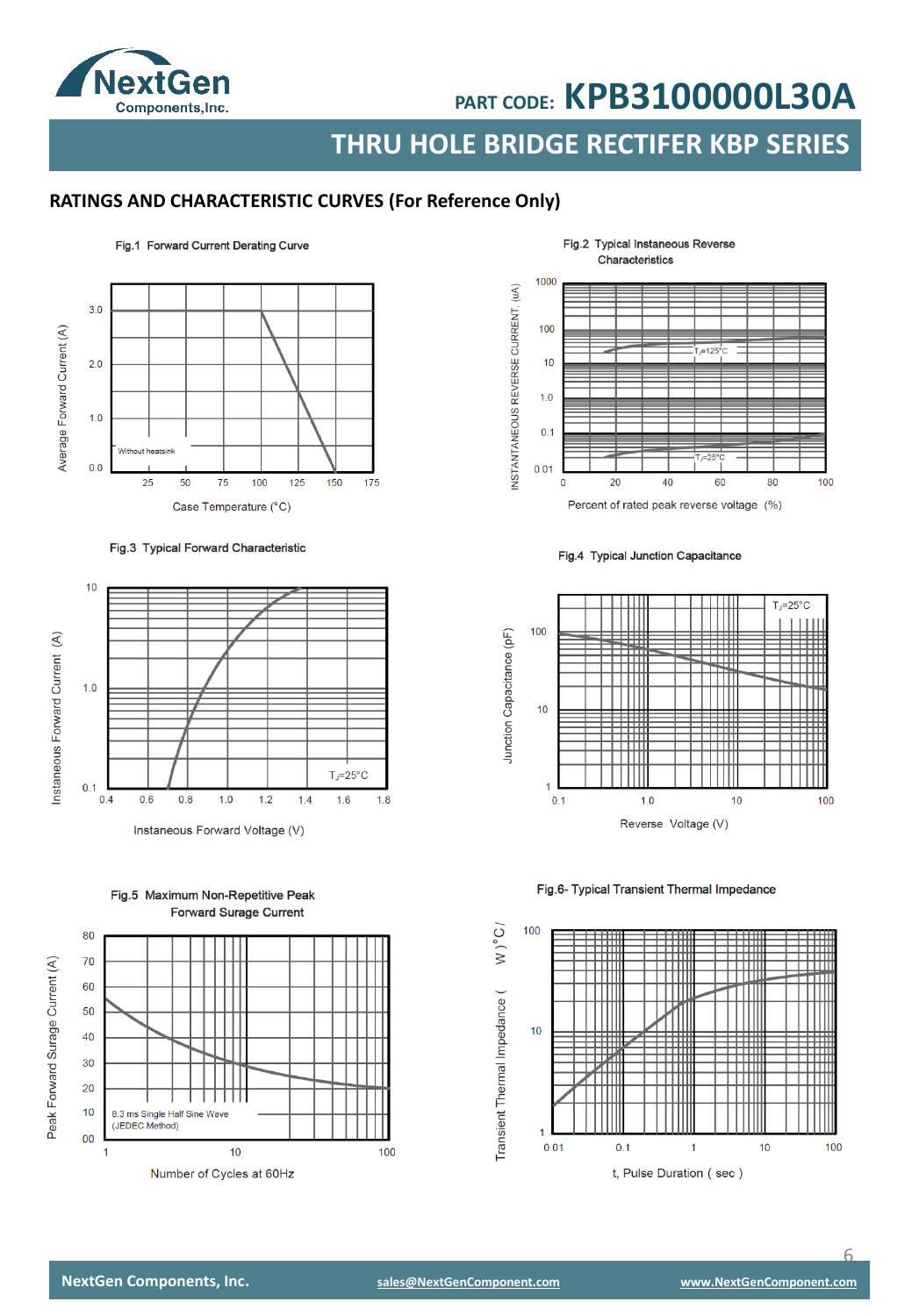

**THRU HOLE BRIDGE RECTIFER KBP SERIES**

### **RATINGS AND CHARACTERISTIC CURVES (For Reference Only)**

#### $3.0$ Average Forward Current (A)  $2.0$  $1.0$ ut heatsink  $0<sub>0</sub>$ 25 50 75 100 125 150 175 Case Temperature (°C)

Fig.1 Forward Current Derating Curve

Fig.3 Typical Forward Characteristic



Instaneous Forward Voltage (V)

80  $70$ 60 50 40 30  $20$  $10$ 8.3 ms Single Half Sine Wave (JEDEC Method) 00 100  $\overline{1}$  $10$ Number of Cycles at 60Hz



Fig.4 Typical Junction Capacitance



#### Fig.6- Typical Transient Thermal Impedance



Fig.5 Maximum Non-Repetitive Peak **Forward Surage Current** 

Peak Forward Surage Current (A)